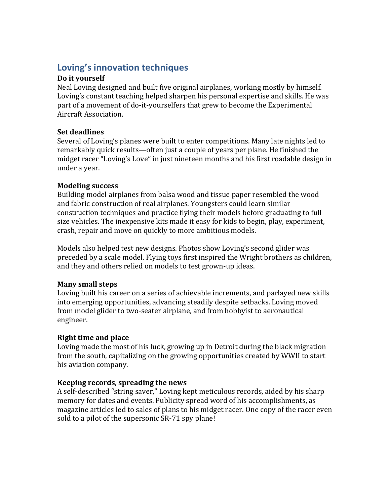# Loving's innovation techniques

### Do it vourself

Neal Loving designed and built five original airplanes, working mostly by himself. Loving's constant teaching helped sharpen his personal expertise and skills. He was part of a movement of do-it-yourselfers that grew to become the Experimental Aircraft Association.

## **Set deadlines**

Several of Loving's planes were built to enter competitions. Many late nights led to remarkably quick results—often just a couple of years per plane. He finished the midget racer "Loving's Love" in just nineteen months and his first roadable design in under a year.

## **Modeling success**

Building model airplanes from balsa wood and tissue paper resembled the wood and fabric construction of real airplanes. Youngsters could learn similar construction techniques and practice flying their models before graduating to full size vehicles. The inexpensive kits made it easy for kids to begin, play, experiment, crash, repair and move on quickly to more ambitious models.

Models also helped test new designs. Photos show Loving's second glider was preceded by a scale model. Flying toys first inspired the Wright brothers as children, and they and others relied on models to test grown-up ideas.

#### **Many small steps**

Loving built his career on a series of achievable increments, and parlayed new skills into emerging opportunities, advancing steadily despite setbacks. Loving moved from model glider to two-seater airplane, and from hobbyist to aeronautical engineer.

# **Right time and place**

Loving made the most of his luck, growing up in Detroit during the black migration from the south, capitalizing on the growing opportunities created by WWII to start his aviation company.

# **Keeping records, spreading the news**

A self-described "string saver," Loving kept meticulous records, aided by his sharp memory for dates and events. Publicity spread word of his accomplishments, as magazine articles led to sales of plans to his midget racer. One copy of the racer even sold to a pilot of the supersonic SR-71 spy plane!